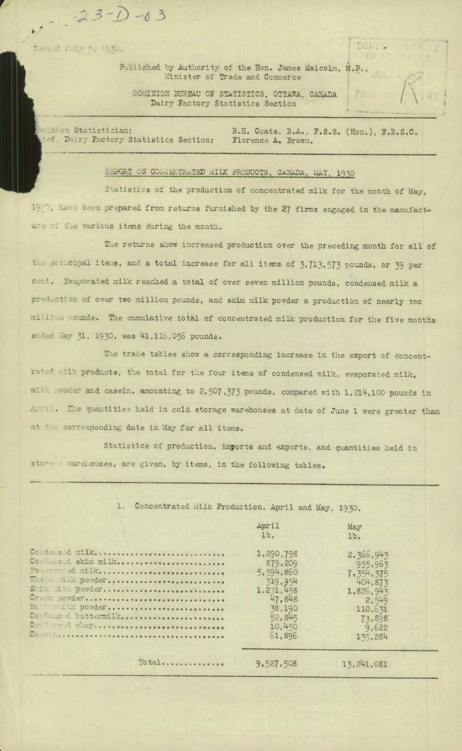Ieru A July 7, 1930.

 $23 - 0 - 03$ 

Published by Authority of the Hon. James Malcolm, M.P., Minister of Trade and Commerce

DOMINION BUREAU OF STATISTICS, OTTAWA, CANADA Dairy Factory Statistics Section

minion Statistician: Dairy Factory Statistics Section:

R.H. Coats, B.A., F.S.S. (Hon.), F.R.S.C. Florence A. Brown.

DON.

PR.J

.itin

## REPORT ON CONCENTRATED MILK PRODUCTS, CANADA, MAY, 1930

Statistics of the production of concentrated milk for the month of May, 1977, have been prepared from returns furnished by the 27 firms engaged in the manufacture of the various items during the month.

The returns show increased production over the preceding month for all of the principal items, and a total increase for all items of 3,713,573 pounds, or 39 per cent. Evaporated milk reached a total of over seven million pounds, condensed milk a production of over two million pounds, and skim milk powder a production of nearly two million pounds. The cumulative total of concentrated milk production for the five months ended liay 31, 1930, was 41,116,056 pounds.

The trade tables show a corresponding increase in the export of concentrated milk products, the total for the four items of condensed milk, evaporated milk, milk nowder and casein, amounting to 2,507,373 pounds, compared with 1,214,100 pounds in April. The quantities held in cold storage warehouses at date of June 1 were greater than at the corresponding date in May for all items.

Statistics of production, imports and exports, and quantities held in storm a warehouses, are given, by items, in the following tables.

1. Concentrated Milk Production, April and May, 1930.

|                                                                                                                                                                                 | April<br>1 <sub>b</sub>                                                                                          | May<br>$1b$ .                                                                                               |
|---------------------------------------------------------------------------------------------------------------------------------------------------------------------------------|------------------------------------------------------------------------------------------------------------------|-------------------------------------------------------------------------------------------------------------|
| Condensed milk<br>Condensed skim milk<br>Fymporated milk<br>Whole milk powder.<br>Shim mil: powder<br>Cream powder<br>But wilk powder<br>Cordonsed buttermilk<br>Cord need whey | 1,290,798<br>879,209<br>5,594,860<br>319, 954<br>$1, 231, 458$<br>47.848<br>38,190<br>52.845<br>10,450<br>61,896 | 2.366.943<br>955,963<br>7,354,375<br>404.873<br>1,826,943<br>2,549<br>110,631<br>73,898<br>9,622<br>135.284 |
| Total                                                                                                                                                                           | 9,527,508                                                                                                        | 13, 241, 081                                                                                                |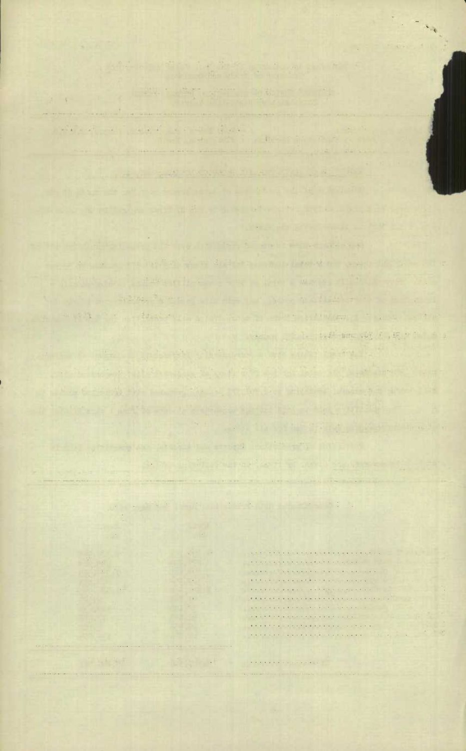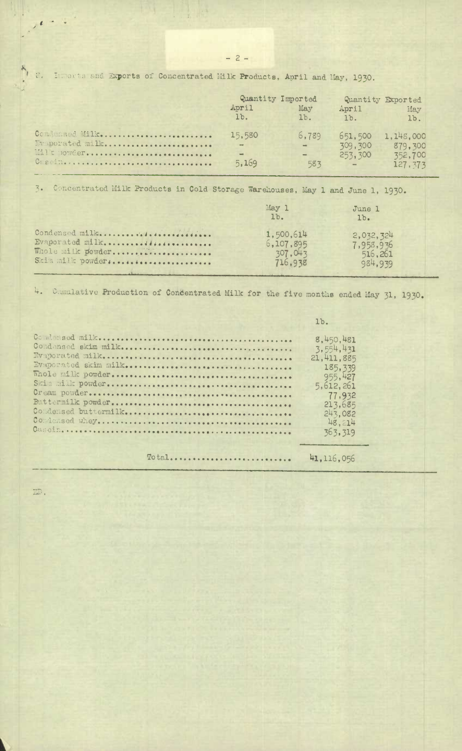$-2-$ 

2. I worth and Exports of Concentrated Milk Products, April and May, 1930.

|                                                           | Quantity Imported<br>April<br>1 <sub>b</sub> | May<br>$1b$ .                                                                                                                                                                                                                                                                                                                                                                                                                                                                              | April<br>$1b$ .                                    | Quantity Exported<br>May<br>$1b$ .          |
|-----------------------------------------------------------|----------------------------------------------|--------------------------------------------------------------------------------------------------------------------------------------------------------------------------------------------------------------------------------------------------------------------------------------------------------------------------------------------------------------------------------------------------------------------------------------------------------------------------------------------|----------------------------------------------------|---------------------------------------------|
| Couldned Milk<br>Iv porated milk<br>Milcouver<br>C: grill | 15,580<br>5,169                              | 6,789<br>$\frac{1}{2} \left( \frac{1}{2} \right) \left( \frac{1}{2} \right) \left( \frac{1}{2} \right) \left( \frac{1}{2} \right) \left( \frac{1}{2} \right) \left( \frac{1}{2} \right) \left( \frac{1}{2} \right) \left( \frac{1}{2} \right) \left( \frac{1}{2} \right) \left( \frac{1}{2} \right) \left( \frac{1}{2} \right) \left( \frac{1}{2} \right) \left( \frac{1}{2} \right) \left( \frac{1}{2} \right) \left( \frac{1}{2} \right) \left( \frac{1}{2} \right) \left( \frac$<br>583 | 651,500<br>309,300<br>253,300<br>$\sim$ 1000 $\mu$ | 1,148,000<br>879,300<br>352,700<br>127, 373 |

3. Concentrated Milk Products in Cold Storage Warehouses, May 1 and June 1, 1930.

|                   | May 1<br>1 <sub>b</sub> | June 1<br>1 <sub>b</sub> |
|-------------------|-------------------------|--------------------------|
| Condensed milks   | 1,500,614               | 2,032,324                |
| Evaporated milk   | 6,107,895               | 7,958,936                |
| Whole milk powder | 307.043                 | 516,261                  |
| Skin milk powder  | 716,938                 | 984,939                  |

4. Cumulative Production of Concentrated Milk for the five months ended May 31, 1930.

|       | $LD -$                                                                                                                           |
|-------|----------------------------------------------------------------------------------------------------------------------------------|
|       | 8,450,481<br>3,554,431<br>21, 411, 885<br>185,339<br>955, 427<br>5,612,261<br>77,932<br>213,685<br>243.082<br>48.214<br>363, 319 |
| Total | 41, 116, 056                                                                                                                     |

 $\overline{\mathbb{R}^n}.$ 

 $\epsilon$